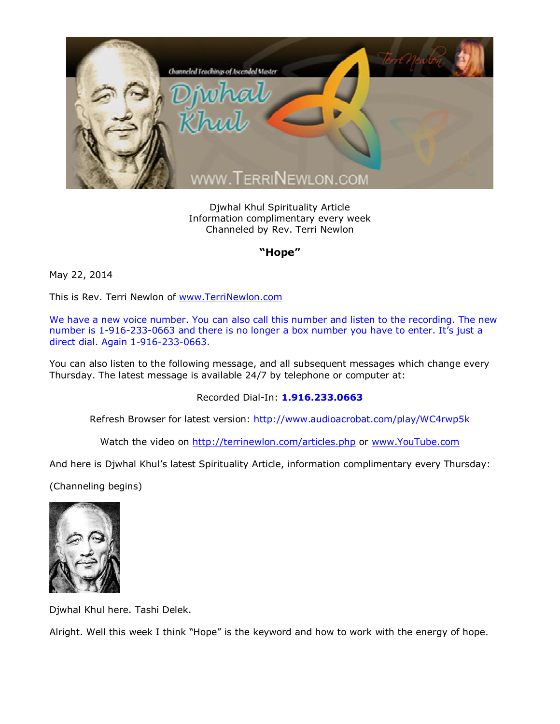

Djwhal Khul Spirituality Article Information complimentary every week Channeled by Rev. Terri Newlon

## **"Hope"**

May 22, 2014

This is Rev. Terri Newlon of [www.TerriNewlon.com](http://www.terrinewlon.com/)

We have a new voice number. You can also call this number and listen to the recording. The new number is 1-916-233-0663 and there is no longer a box number you have to enter. It's just a direct dial. Again 1-916-233-0663.

You can also listen to the following message, and all subsequent messages which change every Thursday. The latest message is available 24/7 by telephone or computer at:

Recorded Dial-In: **1.916.233.0663**

Refresh Browser for latest version: <http://www.audioacrobat.com/play/WC4rwp5k>

Watch the video on <http://terrinewlon.com/articles.php> or [www.YouTube.com](http://www.youtube.com/)

And here is Djwhal Khul's latest Spirituality Article, information complimentary every Thursday:

(Channeling begins)



Djwhal Khul here. Tashi Delek.

Alright. Well this week I think "Hope" is the keyword and how to work with the energy of hope.